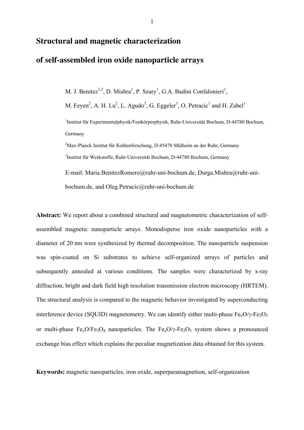# **Structural and magnetic characterization**

# **of self-assembled iron oxide nanoparticle arrays**

M. J. Benitez<sup>1,2</sup>, D. Mishra<sup>1</sup>, P. Szary<sup>1</sup>, G.A. Badini Confalonieri<sup>1</sup>,

M. Feyen<sup>2</sup>, A. H. Lu<sup>2</sup>, L. Agudo<sup>3</sup>, G. Eggeler<sup>3</sup>, O. Petracic<sup>1</sup> and H. Zabel<sup>1</sup> 1 Institut für Experimentalphysik/Festkörperphysik, Ruhr-Universität Bochum, D-44780 Bochum, Germany

<sup>2</sup>Max-Planck Institut für Kohlenforschung, D-45470 Mülheim an der Ruhr, Germany 3 Institut für Werkstoffe, Ruhr-Universität Bochum, D-44780 Bochum, Germany

E-mail: Maria.BenitezRomero@ruhr-uni-bochum.de, Durga.Mishra@ruhr-unibochum.de, and Oleg.Petracic@ruhr-uni-bochum.de

**Abstract:** We report about a combined structural and magnetometric characterization of selfassembled magnetic nanoparticle arrays. Monodisperse iron oxide nanoparticles with a diameter of 20 nm were synthesized by thermal decomposition. The nanoparticle suspension was spin-coated on Si substrates to achieve self-organized arrays of particles and subsequently annealed at various conditions. The samples were characterized by x-ray diffraction, bright and dark field high resolution transmission electron microscopy (HRTEM). The structural analysis is compared to the magnetic behavior investigated by superconducting interference device (SQUID) magnetometry. We can identify either multi-phase  $Fe<sub>x</sub>O/\gamma-Fe<sub>2</sub>O<sub>3</sub>$ or multi-phase  $Fe<sub>x</sub>O/Fe<sub>3</sub>O<sub>4</sub>$  nanoparticles. The  $Fe<sub>x</sub>O/\gamma-Fe<sub>2</sub>O<sub>3</sub>$  system shows a pronounced exchange bias effect which explains the peculiar magnetization data obtained for this system.

**Keywords:** magnetic nanoparticles, iron oxide, superparamagnetism, self-organization

1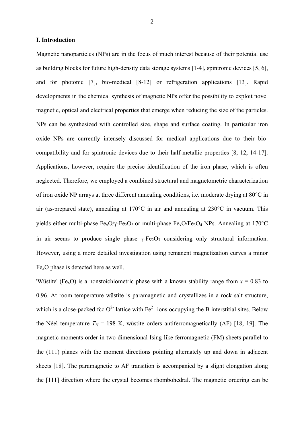### **I. Introduction**

Magnetic nanoparticles (NPs) are in the focus of much interest because of their potential use as building blocks for future high-density data storage systems [1-4], spintronic devices [5, 6], and for photonic [7], bio-medical [8-12] or refrigeration applications [13]. Rapid developments in the chemical synthesis of magnetic NPs offer the possibility to exploit novel magnetic, optical and electrical properties that emerge when reducing the size of the particles. NPs can be synthesized with controlled size, shape and surface coating. In particular iron oxide NPs are currently intensely discussed for medical applications due to their biocompatibility and for spintronic devices due to their half-metallic properties [8, 12, 14-17]. Applications, however, require the precise identification of the iron phase, which is often neglected. Therefore, we employed a combined structural and magnetometric characterization of iron oxide NP arrays at three different annealing conditions, i.e. moderate drying at 80°C in air (as-prepared state), annealing at 170°C in air and annealing at 230°C in vacuum. This yields either multi-phase  $Fe_{x}O/\gamma-Fe_{2}O_{3}$  or multi-phase  $Fe_{x}O/Fe_{3}O_{4}$  NPs. Annealing at 170°C in air seems to produce single phase  $\gamma$ -Fe<sub>2</sub>O<sub>3</sub> considering only structural information. However, using a more detailed investigation using remanent magnetization curves a minor FexO phase is detected here as well.

'Wüstite' (Fe<sub>x</sub>O) is a nonstoichiometric phase with a known stability range from  $x = 0.83$  to 0.96. At room temperature wüstite is paramagnetic and crystallizes in a rock salt structure, which is a close-packed fcc  $O^2$  lattice with  $Fe^{2+}$  ions occupying the B interstitial sites. Below the Néel temperature  $T_N = 198$  K, wüstite orders antiferromagnetically (AF) [18, 19]. The magnetic moments order in two-dimensional Ising-like ferromagnetic (FM) sheets parallel to the (111) planes with the moment directions pointing alternately up and down in adjacent sheets [18]. The paramagnetic to AF transition is accompanied by a slight elongation along the [111] direction where the crystal becomes rhombohedral. The magnetic ordering can be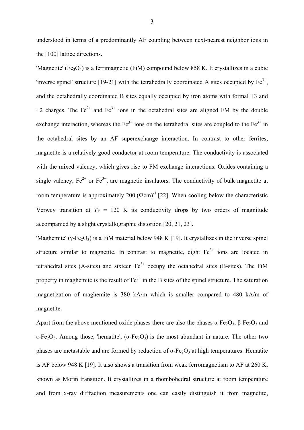understood in terms of a predominantly AF coupling between next-nearest neighbor ions in the [100] lattice directions.

'Magnetite' (Fe<sub>3</sub>O<sub>4</sub>) is a ferrimagnetic (FiM) compound below 858 K. It crystallizes in a cubic 'inverse spinel' structure [19-21] with the tetrahedrally coordinated A sites occupied by  $Fe^{3+}$ , and the octahedrally coordinated B sites equally occupied by iron atoms with formal +3 and +2 charges. The  $Fe^{2+}$  and  $Fe^{3+}$  ions in the octahedral sites are aligned FM by the double exchange interaction, whereas the  $Fe<sup>3+</sup>$  ions on the tetrahedral sites are coupled to the  $Fe<sup>3+</sup>$  in the octahedral sites by an AF superexchange interaction. In contrast to other ferrites, magnetite is a relatively good conductor at room temperature. The conductivity is associated with the mixed valency, which gives rise to FM exchange interactions. Oxides containing a single valency,  $Fe^{2+}$  or  $Fe^{3+}$ , are magnetic insulators. The conductivity of bulk magnetite at room temperature is approximately 200  $(\Omega \text{cm})^{-1}$  [22]. When cooling below the characteristic Verwey transition at  $T_V = 120$  K its conductivity drops by two orders of magnitude accompanied by a slight crystallographic distortion [20, 21, 23].

'Maghemite' ( $\gamma$ -Fe<sub>2</sub>O<sub>3</sub>) is a FiM material below 948 K [19]. It crystallizes in the inverse spinel structure similar to magnetite. In contrast to magnetite, eight  $Fe<sup>3+</sup>$  ions are located in tetrahedral sites (A-sites) and sixteen  $Fe<sup>3+</sup>$  occupy the octahedral sites (B-sites). The FiM property in maghemite is the result of  $Fe<sup>3+</sup>$  in the B sites of the spinel structure. The saturation magnetization of maghemite is 380 kA/m which is smaller compared to 480 kA/m of magnetite.

Apart from the above mentioned oxide phases there are also the phases  $\alpha$ -Fe<sub>2</sub>O<sub>3</sub>, β-Fe<sub>2</sub>O<sub>3</sub> and ε-Fe<sub>2</sub>O<sub>3</sub>. Among those, 'hematite', (α-Fe<sub>2</sub>O<sub>3</sub>) is the most abundant in nature. The other two phases are metastable and are formed by reduction of  $\alpha$ -Fe<sub>2</sub>O<sub>3</sub> at high temperatures. Hematite is AF below 948 K [19]. It also shows a transition from weak ferromagnetism to AF at 260 K, known as Morin transition. It crystallizes in a rhombohedral structure at room temperature and from x-ray diffraction measurements one can easily distinguish it from magnetite,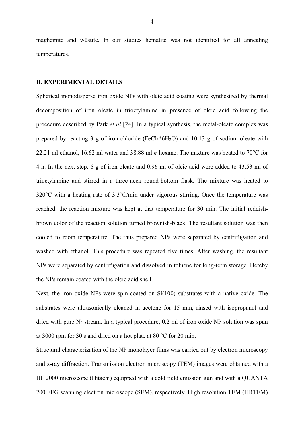maghemite and wüstite. In our studies hematite was not identified for all annealing temperatures.

## **II. EXPERIMENTAL DETAILS**

Spherical monodisperse iron oxide NPs with oleic acid coating were synthesized by thermal decomposition of iron oleate in trioctylamine in presence of oleic acid following the procedure described by Park *et al* [24]. In a typical synthesis, the metal-oleate complex was prepared by reacting 3 g of iron chloride (FeCl<sub>3</sub>\*6H<sub>2</sub>O) and 10.13 g of sodium oleate with 22.21 ml ethanol, 16.62 ml water and 38.88 ml *n*-hexane. The mixture was heated to 70°C for 4 h. In the next step, 6 g of iron oleate and 0.96 ml of oleic acid were added to 43.53 ml of trioctylamine and stirred in a three-neck round-bottom flask. The mixture was heated to 320°C with a heating rate of 3.3°C/min under vigorous stirring. Once the temperature was reached, the reaction mixture was kept at that temperature for 30 min. The initial reddishbrown color of the reaction solution turned brownish-black. The resultant solution was then cooled to room temperature. The thus prepared NPs were separated by centrifugation and washed with ethanol. This procedure was repeated five times. After washing, the resultant NPs were separated by centrifugation and dissolved in toluene for long-term storage. Hereby the NPs remain coated with the oleic acid shell.

Next, the iron oxide NPs were spin-coated on Si(100) substrates with a native oxide. The substrates were ultrasonically cleaned in acetone for 15 min, rinsed with isopropanol and dried with pure  $N_2$  stream. In a typical procedure, 0.2 ml of iron oxide NP solution was spun at 3000 rpm for 30 s and dried on a hot plate at 80 °C for 20 min.

Structural characterization of the NP monolayer films was carried out by electron microscopy and x-ray diffraction. Transmission electron microscopy (TEM) images were obtained with a HF 2000 microscope (Hitachi) equipped with a cold field emission gun and with a QUANTA 200 FEG scanning electron microscope (SEM), respectively. High resolution TEM (HRTEM)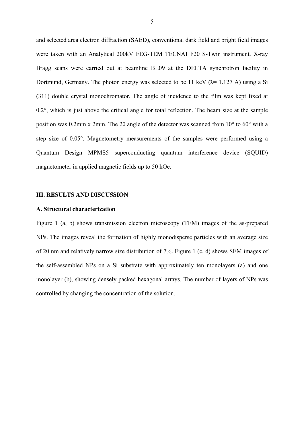and selected area electron diffraction (SAED), conventional dark field and bright field images were taken with an Analytical 200kV FEG-TEM TECNAI F20 S-Twin instrument. X-ray Bragg scans were carried out at beamline BL09 at the DELTA synchrotron facility in Dortmund, Germany. The photon energy was selected to be 11 keV ( $\lambda$ = 1.127 Å) using a Si (311) double crystal monochromator. The angle of incidence to the film was kept fixed at  $0.2^{\circ}$ , which is just above the critical angle for total reflection. The beam size at the sample position was 0.2mm x 2mm. The 2θ angle of the detector was scanned from 10° to 60° with a step size of 0.05°. Magnetometry measurements of the samples were performed using a Quantum Design MPMS5 superconducting quantum interference device (SQUID) magnetometer in applied magnetic fields up to 50 kOe.

#### **III. RESULTS AND DISCUSSION**

#### **A. Structural characterization**

Figure 1 (a, b) shows transmission electron microscopy (TEM) images of the as-prepared NPs. The images reveal the formation of highly monodisperse particles with an average size of 20 nm and relatively narrow size distribution of 7%. Figure 1 (c, d) shows SEM images of the self-assembled NPs on a Si substrate with approximately ten monolayers (a) and one monolayer (b), showing densely packed hexagonal arrays. The number of layers of NPs was controlled by changing the concentration of the solution.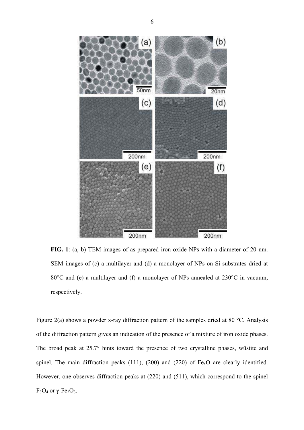

**FIG. 1**: (a, b) TEM images of as-prepared iron oxide NPs with a diameter of 20 nm. SEM images of (c) a multilayer and (d) a monolayer of NPs on Si substrates dried at 80°C and (e) a multilayer and (f) a monolayer of NPs annealed at 230°C in vacuum, respectively.

Figure 2(a) shows a powder x-ray diffraction pattern of the samples dried at 80 °C. Analysis of the diffraction pattern gives an indication of the presence of a mixture of iron oxide phases. The broad peak at 25.7° hints toward the presence of two crystalline phases, wüstite and spinel. The main diffraction peaks (111), (200) and (220) of  $Fe<sub>x</sub>O$  are clearly identified. However, one observes diffraction peaks at (220) and (511), which correspond to the spinel  $F_3O_4$  or  $\gamma$ - $Fe_2O_3$ .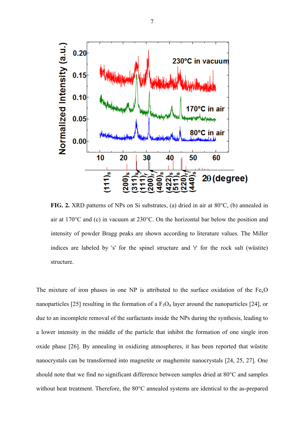

**FIG. 2.** XRD patterns of NPs on Si substrates, (a) dried in air at 80°C, (b) annealed in air at 170°C and (c) in vacuum at 230°C. On the horizontal bar below the position and intensity of powder Bragg peaks are shown according to literature values. The Miller indices are labeled by 's' for the spinel structure and 'r' for the rock salt (wüstite) structure.

The mixture of iron phases in one NP is attributed to the surface oxidation of the  $Fe<sub>x</sub>O$ nanoparticles [25] resulting in the formation of a  $F_3O_4$  layer around the nanoparticles [24], or due to an incomplete removal of the surfactants inside the NPs during the synthesis, leading to a lower intensity in the middle of the particle that inhibit the formation of one single iron oxide phase [26]. By annealing in oxidizing atmospheres, it has been reported that wüstite nanocrystals can be transformed into magnetite or maghemite nanocrystals [24, 25, 27]. One should note that we find no significant difference between samples dried at 80°C and samples without heat treatment. Therefore, the 80°C annealed systems are identical to the as-prepared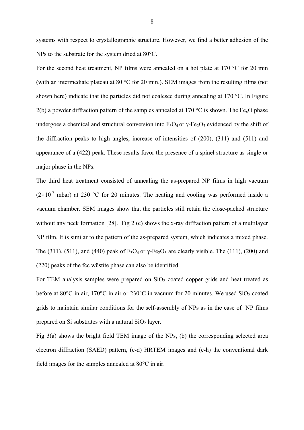systems with respect to crystallographic structure. However, we find a better adhesion of the NPs to the substrate for the system dried at 80°C.

For the second heat treatment, NP films were annealed on a hot plate at 170 °C for 20 min (with an intermediate plateau at 80 °C for 20 min.). SEM images from the resulting films (not shown here) indicate that the particles did not coalesce during annealing at 170 °C. In Figure 2(b) a powder diffraction pattern of the samples annealed at 170 °C is shown. The Fe<sub>x</sub>O phase undergoes a chemical and structural conversion into  $F_3O_4$  or  $\gamma$ -Fe<sub>2</sub>O<sub>3</sub> evidenced by the shift of the diffraction peaks to high angles, increase of intensities of (200), (311) and (511) and appearance of a (422) peak. These results favor the presence of a spinel structure as single or major phase in the NPs.

The third heat treatment consisted of annealing the as-prepared NP films in high vacuum  $(2\times10^{-7}$  mbar) at 230 °C for 20 minutes. The heating and cooling was performed inside a vacuum chamber. SEM images show that the particles still retain the close-packed structure without any neck formation [28]. Fig 2 (c) shows the x-ray diffraction pattern of a multilayer NP film. It is similar to the pattern of the as-prepared system, which indicates a mixed phase. The (311), (511), and (440) peak of  $F_3O_4$  or  $\gamma$ -Fe<sub>2</sub>O<sub>3</sub> are clearly visible. The (111), (200) and (220) peaks of the fcc wüstite phase can also be identified.

For TEM analysis samples were prepared on  $SiO<sub>2</sub>$  coated copper grids and heat treated as before at  $80^{\circ}$ C in air,  $170^{\circ}$ C in air or  $230^{\circ}$ C in vacuum for 20 minutes. We used SiO<sub>2</sub> coated grids to maintain similar conditions for the self-assembly of NPs as in the case of NP films prepared on Si substrates with a natural  $SiO<sub>2</sub>$  layer.

Fig 3(a) shows the bright field TEM image of the NPs, (b) the corresponding selected area electron diffraction (SAED) pattern, (c-d) HRTEM images and (e-h) the conventional dark field images for the samples annealed at 80°C in air.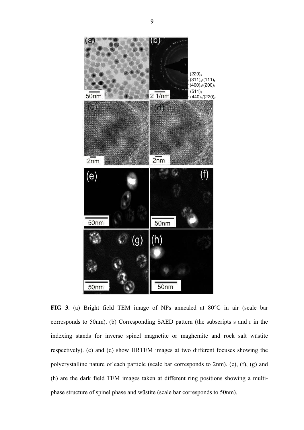

**FIG 3**. (a) Bright field TEM image of NPs annealed at 80°C in air (scale bar corresponds to 50nm). (b) Corresponding SAED pattern (the subscripts s and r in the indexing stands for inverse spinel magnetite or maghemite and rock salt wüstite respectively). (c) and (d) show HRTEM images at two different focuses showing the polycrystalline nature of each particle (scale bar corresponds to 2nm). (e), (f), (g) and (h) are the dark field TEM images taken at different ring positions showing a multiphase structure of spinel phase and wüstite (scale bar corresponds to 50nm).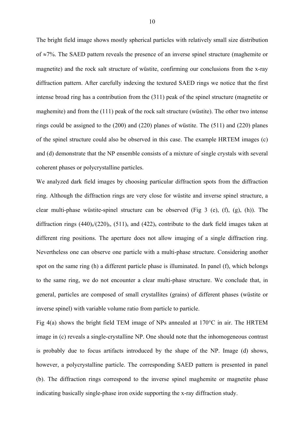The bright field image shows mostly spherical particles with relatively small size distribution of  $\approx$ 7%. The SAED pattern reveals the presence of an inverse spinel structure (maghemite or magnetite) and the rock salt structure of wüstite, confirming our conclusions from the x-ray diffraction pattern. After carefully indexing the textured SAED rings we notice that the first intense broad ring has a contribution from the (311) peak of the spinel structure (magnetite or maghemite) and from the (111) peak of the rock salt structure (wüstite). The other two intense rings could be assigned to the (200) and (220) planes of wüstite. The (511) and (220) planes of the spinel structure could also be observed in this case. The example HRTEM images (c) and (d) demonstrate that the NP ensemble consists of a mixture of single crystals with several coherent phases or polycrystalline particles.

We analyzed dark field images by choosing particular diffraction spots from the diffraction ring. Although the diffraction rings are very close for wüstite and inverse spinel structure, a clear multi-phase wüstite-spinel structure can be observed (Fig 3 (e), (f), (g), (h)). The diffraction rings  $(440)$ <sub>s</sub> $(220)$ <sub>r</sub>,  $(511)$ <sub>s</sub> and  $(422)$ <sub>s</sub> contribute to the dark field images taken at different ring positions. The aperture does not allow imaging of a single diffraction ring. Nevertheless one can observe one particle with a multi-phase structure. Considering another spot on the same ring (h) a different particle phase is illuminated. In panel (f), which belongs to the same ring, we do not encounter a clear multi-phase structure. We conclude that, in general, particles are composed of small crystallites (grains) of different phases (wüstite or inverse spinel) with variable volume ratio from particle to particle.

Fig 4(a) shows the bright field TEM image of NPs annealed at 170°C in air. The HRTEM image in (c) reveals a single-crystalline NP. One should note that the inhomogeneous contrast is probably due to focus artifacts introduced by the shape of the NP. Image (d) shows, however, a polycrystalline particle. The corresponding SAED pattern is presented in panel (b). The diffraction rings correspond to the inverse spinel maghemite or magnetite phase indicating basically single-phase iron oxide supporting the x-ray diffraction study.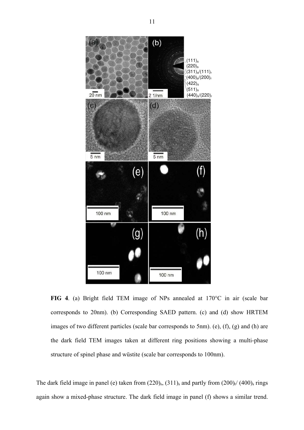

**FIG 4**. (a) Bright field TEM image of NPs annealed at 170°C in air (scale bar corresponds to 20nm). (b) Corresponding SAED pattern. (c) and (d) show HRTEM images of two different particles (scale bar corresponds to 5nm). (e), (f), (g) and (h) are the dark field TEM images taken at different ring positions showing a multi-phase structure of spinel phase and wüstite (scale bar corresponds to 100nm).

The dark field image in panel (e) taken from  $(220)_{s}$ ,  $(311)_{s}$  and partly from  $(200)_{r}$ /  $(400)_{s}$  rings again show a mixed-phase structure. The dark field image in panel (f) shows a similar trend.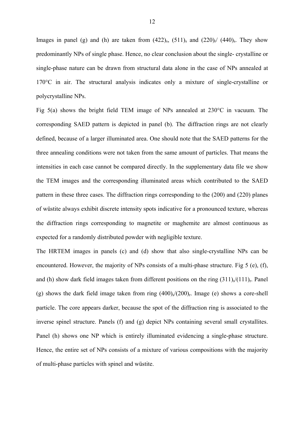Images in panel (g) and (h) are taken from  $(422)_{s}$ ,  $(511)_{s}$  and  $(220)_{r}$   $(440)_{s}$ . They show predominantly NPs of single phase. Hence, no clear conclusion about the single- crystalline or single-phase nature can be drawn from structural data alone in the case of NPs annealed at 170°C in air. The structural analysis indicates only a mixture of single-crystalline or polycrystalline NPs.

Fig 5(a) shows the bright field TEM image of NPs annealed at 230°C in vacuum. The corresponding SAED pattern is depicted in panel (b). The diffraction rings are not clearly defined, because of a larger illuminated area. One should note that the SAED patterns for the three annealing conditions were not taken from the same amount of particles. That means the intensities in each case cannot be compared directly. In the supplementary data file we show the TEM images and the corresponding illuminated areas which contributed to the SAED pattern in these three cases. The diffraction rings corresponding to the (200) and (220) planes of wüstite always exhibit discrete intensity spots indicative for a pronounced texture, whereas the diffraction rings corresponding to magnetite or maghemite are almost continuous as expected for a randomly distributed powder with negligible texture.

The HRTEM images in panels (c) and (d) show that also single-crystalline NPs can be encountered. However, the majority of NPs consists of a multi-phase structure. Fig 5 (e), (f), and (h) show dark field images taken from different positions on the ring  $(311)\sqrt{(111)}$ <sub>r</sub>. Panel (g) shows the dark field image taken from ring  $(400)/(200)$ . Image (e) shows a core-shell particle. The core appears darker, because the spot of the diffraction ring is associated to the inverse spinel structure. Panels (f) and (g) depict NPs containing several small crystallites. Panel (h) shows one NP which is entirely illuminated evidencing a single-phase structure. Hence, the entire set of NPs consists of a mixture of various compositions with the majority of multi-phase particles with spinel and wüstite.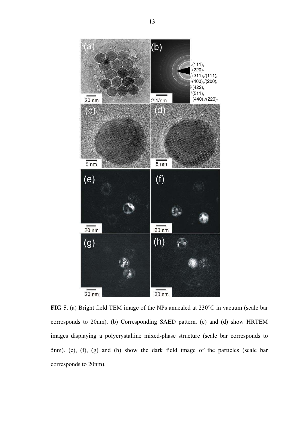

**FIG 5.** (a) Bright field TEM image of the NPs annealed at 230°C in vacuum (scale bar corresponds to 20nm). (b) Corresponding SAED pattern. (c) and (d) show HRTEM images displaying a polycrystalline mixed-phase structure (scale bar corresponds to 5nm). (e), (f), (g) and (h) show the dark field image of the particles (scale bar corresponds to 20nm).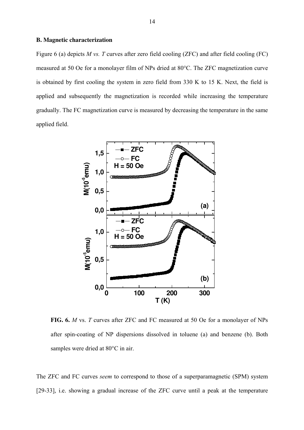#### **B. Magnetic characterization**

Figure 6 (a) depicts *M vs. T* curves after zero field cooling (ZFC) and after field cooling (FC) measured at 50 Oe for a monolayer film of NPs dried at 80°C. The ZFC magnetization curve is obtained by first cooling the system in zero field from 330 K to 15 K. Next, the field is applied and subsequently the magnetization is recorded while increasing the temperature gradually. The FC magnetization curve is measured by decreasing the temperature in the same applied field.



**FIG. 6.** *M* vs. *T* curves after ZFC and FC measured at 50 Oe for a monolayer of NPs after spin-coating of NP dispersions dissolved in toluene (a) and benzene (b). Both samples were dried at 80°C in air.

The ZFC and FC curves *seem* to correspond to those of a superparamagnetic (SPM) system [29-33], i.e. showing a gradual increase of the ZFC curve until a peak at the temperature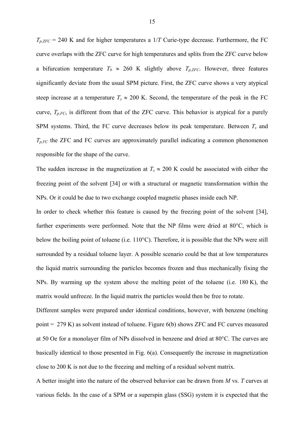$T_{p,ZFC}$  = 240 K and for higher temperatures a 1/*T* Curie-type decrease. Furthermore, the FC curve overlaps with the ZFC curve for high temperatures and splits from the ZFC curve below a bifurcation temperature  $T_b \approx 260$  K slightly above  $T_{p, ZFC}$ . However, three features significantly deviate from the usual SPM picture. First, the ZFC curve shows a very atypical steep increase at a temperature  $T_s \approx 200$  K. Second, the temperature of the peak in the FC curve, *Tp,FC*, is different from that of the ZFC curve. This behavior is atypical for a purely SPM systems. Third, the FC curve decreases below its peak temperature. Between *Ts* and  $T_{p,FC}$  the ZFC and FC curves are approximately parallel indicating a common phenomenon responsible for the shape of the curve.

The sudden increase in the magnetization at  $T_s \approx 200$  K could be associated with either the freezing point of the solvent [34] or with a structural or magnetic transformation within the NPs. Or it could be due to two exchange coupled magnetic phases inside each NP.

In order to check whether this feature is caused by the freezing point of the solvent [34], further experiments were performed. Note that the NP films were dried at 80°C, which is below the boiling point of toluene (i.e. 110°C). Therefore, it is possible that the NPs were still surrounded by a residual toluene layer. A possible scenario could be that at low temperatures the liquid matrix surrounding the particles becomes frozen and thus mechanically fixing the NPs. By warming up the system above the melting point of the toluene (i.e. 180 K), the matrix would unfreeze. In the liquid matrix the particles would then be free to rotate.

Different samples were prepared under identical conditions, however, with benzene (melting point = 279 K) as solvent instead of toluene. Figure 6(b) shows ZFC and FC curves measured at 50 Oe for a monolayer film of NPs dissolved in benzene and dried at 80°C. The curves are basically identical to those presented in Fig. 6(a). Consequently the increase in magnetization close to 200 K is not due to the freezing and melting of a residual solvent matrix.

A better insight into the nature of the observed behavior can be drawn from *M* vs. *T* curves at various fields. In the case of a SPM or a superspin glass (SSG) system it is expected that the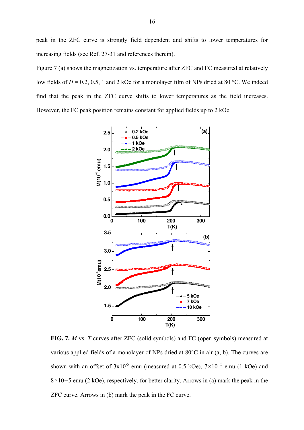peak in the ZFC curve is strongly field dependent and shifts to lower temperatures for increasing fields (see Ref. 27-31 and references therein).

Figure 7 (a) shows the magnetization vs. temperature after ZFC and FC measured at relatively low fields of  $H = 0.2, 0.5, 1$  and 2 kOe for a monolayer film of NPs dried at 80 °C. We indeed find that the peak in the ZFC curve shifts to lower temperatures as the field increases. However, the FC peak position remains constant for applied fields up to 2 kOe.



**FIG. 7.** *M* vs. *T* curves after ZFC (solid symbols) and FC (open symbols) measured at various applied fields of a monolayer of NPs dried at 80°C in air (a, b). The curves are shown with an offset of  $3x10^{-5}$  emu (measured at 0.5 kOe),  $7\times10^{-5}$  emu (1 kOe) and 8*×*10*−*5 emu (2 kOe), respectively, for better clarity. Arrows in (a) mark the peak in the ZFC curve. Arrows in (b) mark the peak in the FC curve.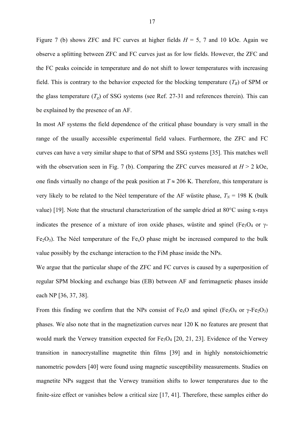Figure 7 (b) shows ZFC and FC curves at higher fields  $H = 5$ , 7 and 10 kOe. Again we observe a splitting between ZFC and FC curves just as for low fields. However, the ZFC and the FC peaks coincide in temperature and do not shift to lower temperatures with increasing field. This is contrary to the behavior expected for the blocking temperature  $(T_B)$  of SPM or the glass temperature  $(T_g)$  of SSG systems (see Ref. 27-31 and references therein). This can be explained by the presence of an AF.

In most AF systems the field dependence of the critical phase boundary is very small in the range of the usually accessible experimental field values. Furthermore, the ZFC and FC curves can have a very similar shape to that of SPM and SSG systems [35]. This matches well with the observation seen in Fig. 7 (b). Comparing the ZFC curves measured at  $H > 2$  kOe, one finds virtually no change of the peak position at  $T \approx 206$  K. Therefore, this temperature is very likely to be related to the Néel temperature of the AF wüstite phase,  $T_N = 198$  K (bulk value) [19]. Note that the structural characterization of the sample dried at 80°C using x-rays indicates the presence of a mixture of iron oxide phases, wüstite and spinel (Fe<sub>3</sub>O<sub>4</sub> or  $\gamma$ -Fe<sub>2</sub>O<sub>3</sub>). The Néel temperature of the Fe<sub>x</sub>O phase might be increased compared to the bulk value possibly by the exchange interaction to the FiM phase inside the NPs.

We argue that the particular shape of the ZFC and FC curves is caused by a superposition of regular SPM blocking and exchange bias (EB) between AF and ferrimagnetic phases inside each NP [36, 37, 38].

From this finding we confirm that the NPs consist of  $Fe<sub>x</sub>O$  and spinel (Fe<sub>3</sub>O<sub>4</sub> or  $\gamma$ -Fe<sub>2</sub>O<sub>3</sub>) phases. We also note that in the magnetization curves near 120 K no features are present that would mark the Verwey transition expected for  $Fe<sub>3</sub>O<sub>4</sub>$  [20, 21, 23]. Evidence of the Verwey transition in nanocrystalline magnetite thin films [39] and in highly nonstoichiometric nanometric powders [40] were found using magnetic susceptibility measurements. Studies on magnetite NPs suggest that the Verwey transition shifts to lower temperatures due to the finite-size effect or vanishes below a critical size [17, 41]. Therefore, these samples either do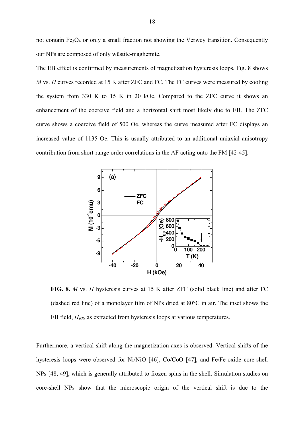not contain  $Fe<sub>3</sub>O<sub>4</sub>$  or only a small fraction not showing the Verwey transition. Consequently our NPs are composed of only wüstite-maghemite.

The EB effect is confirmed by measurements of magnetization hysteresis loops. Fig. 8 shows *M* vs. *H* curves recorded at 15 K after ZFC and FC. The FC curves were measured by cooling the system from 330 K to 15 K in 20 kOe. Compared to the ZFC curve it shows an enhancement of the coercive field and a horizontal shift most likely due to EB. The ZFC curve shows a coercive field of 500 Oe, whereas the curve measured after FC displays an increased value of 1135 Oe. This is usually attributed to an additional uniaxial anisotropy contribution from short-range order correlations in the AF acting onto the FM [42-45].



**FIG. 8.** *M* vs. *H* hysteresis curves at 15 K after ZFC (solid black line) and after FC (dashed red line) of a monolayer film of NPs dried at 80°C in air. The inset shows the EB field, *HEB*, as extracted from hysteresis loops at various temperatures.

Furthermore, a vertical shift along the magnetization axes is observed. Vertical shifts of the hysteresis loops were observed for Ni/NiO [46], Co/CoO [47], and Fe/Fe-oxide core-shell NPs [48, 49], which is generally attributed to frozen spins in the shell. Simulation studies on core-shell NPs show that the microscopic origin of the vertical shift is due to the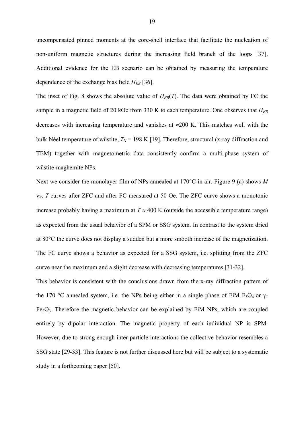uncompensated pinned moments at the core-shell interface that facilitate the nucleation of non-uniform magnetic structures during the increasing field branch of the loops [37]. Additional evidence for the EB scenario can be obtained by measuring the temperature dependence of the exchange bias field *HEB* [36].

The inset of Fig. 8 shows the absolute value of  $H_{EB}(T)$ . The data were obtained by FC the sample in a magnetic field of 20 kOe from 330 K to each temperature. One observes that  $H_{EB}$ decreases with increasing temperature and vanishes at  $\approx 200$  K. This matches well with the bulk Néel temperature of wüstite,  $T_N$  = 198 K [19]. Therefore, structural (x-ray diffraction and TEM) together with magnetometric data consistently confirm a multi-phase system of wüstite-maghemite NPs.

Next we consider the monolayer film of NPs annealed at 170°C in air. Figure 9 (a) shows *M* vs. *T* curves after ZFC and after FC measured at 50 Oe. The ZFC curve shows a monotonic increase probably having a maximum at  $T \approx 400$  K (outside the accessible temperature range) as expected from the usual behavior of a SPM or SSG system. In contrast to the system dried at 80°C the curve does not display a sudden but a more smooth increase of the magnetization. The FC curve shows a behavior as expected for a SSG system, i.e. splitting from the ZFC curve near the maximum and a slight decrease with decreasing temperatures [31-32].

This behavior is consistent with the conclusions drawn from the x-ray diffraction pattern of the 170 °C annealed system, i.e. the NPs being either in a single phase of FiM F<sub>3</sub>O<sub>4</sub> or  $\gamma$ - $Fe<sub>2</sub>O<sub>3</sub>$ . Therefore the magnetic behavior can be explained by FiM NPs, which are coupled entirely by dipolar interaction. The magnetic property of each individual NP is SPM. However, due to strong enough inter-particle interactions the collective behavior resembles a SSG state [29-33]. This feature is not further discussed here but will be subject to a systematic study in a forthcoming paper [50].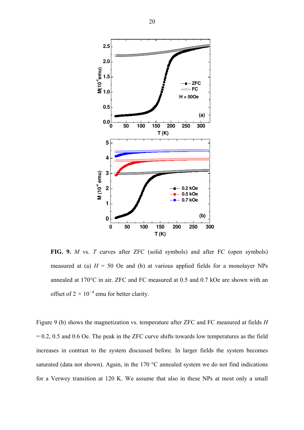

**FIG. 9.** *M* vs. *T* curves after ZFC (solid symbols) and after FC (open symbols) measured at (a)  $H = 50$  Oe and (b) at various applied fields for a monolayer NPs annealed at 170°C in air. ZFC and FC measured at 0.5 and 0.7 kOe are shown with an offset of 2 *×* 10*<sup>−</sup>*<sup>4</sup> emu for better clarity.

Figure 9 (b) shows the magnetization vs. temperature after ZFC and FC measured at fields *H*  $= 0.2, 0.5$  and 0.6 Oe. The peak in the ZFC curve shifts towards low temperatures as the field increases in contrast to the system discussed before. In larger fields the system becomes saturated (data not shown). Again, in the 170 °C annealed system we do not find indications for a Verwey transition at 120 K. We assume that also in these NPs at most only a small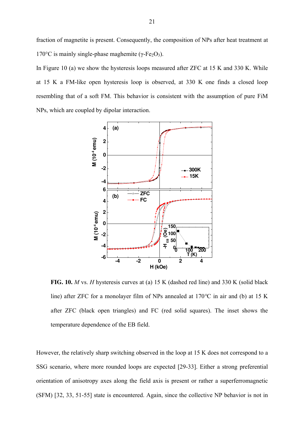fraction of magnetite is present. Consequently, the composition of NPs after heat treatment at 170 $\degree$ C is mainly single-phase maghemite (γ-Fe<sub>2</sub>O<sub>3</sub>).

In Figure 10 (a) we show the hysteresis loops measured after ZFC at 15 K and 330 K. While at 15 K a FM-like open hysteresis loop is observed, at 330 K one finds a closed loop resembling that of a soft FM. This behavior is consistent with the assumption of pure FiM NPs, which are coupled by dipolar interaction.



**FIG. 10.** *M* vs. *H* hysteresis curves at (a) 15 K (dashed red line) and 330 K (solid black line) after ZFC for a monolayer film of NPs annealed at 170*°*C in air and (b) at 15 K after ZFC (black open triangles) and FC (red solid squares). The inset shows the temperature dependence of the EB field.

However, the relatively sharp switching observed in the loop at 15 K does not correspond to a SSG scenario, where more rounded loops are expected [29-33]. Either a strong preferential orientation of anisotropy axes along the field axis is present or rather a superferromagnetic (SFM) [32, 33, 51-55] state is encountered. Again, since the collective NP behavior is not in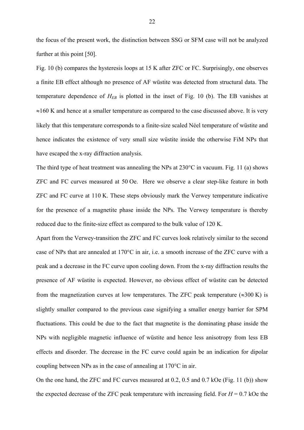the focus of the present work, the distinction between SSG or SFM case will not be analyzed further at this point [50].

Fig. 10 (b) compares the hysteresis loops at 15 K after ZFC or FC. Surprisingly, one observes a finite EB effect although no presence of AF wüstite was detected from structural data. The temperature dependence of *HEB* is plotted in the inset of Fig. 10 (b). The EB vanishes at  $\approx$ 160 K and hence at a smaller temperature as compared to the case discussed above. It is very likely that this temperature corresponds to a finite-size scaled Néel temperature of wüstite and hence indicates the existence of very small size wüstite inside the otherwise FiM NPs that have escaped the x-ray diffraction analysis.

The third type of heat treatment was annealing the NPs at 230°C in vacuum. Fig. 11 (a) shows ZFC and FC curves measured at 50 Oe. Here we observe a clear step-like feature in both ZFC and FC curve at 110 K. These steps obviously mark the Verwey temperature indicative for the presence of a magnetite phase inside the NPs. The Verwey temperature is thereby reduced due to the finite-size effect as compared to the bulk value of 120 K.

Apart from the Verwey-transition the ZFC and FC curves look relatively similar to the second case of NPs that are annealed at 170°C in air, i.e. a smooth increase of the ZFC curve with a peak and a decrease in the FC curve upon cooling down. From the x-ray diffraction results the presence of AF wüstite is expected. However, no obvious effect of wüstite can be detected from the magnetization curves at low temperatures. The ZFC peak temperature  $(\approx 300 \text{ K})$  is slightly smaller compared to the previous case signifying a smaller energy barrier for SPM fluctuations. This could be due to the fact that magnetite is the dominating phase inside the NPs with negligible magnetic influence of wüstite and hence less anisotropy from less EB effects and disorder. The decrease in the FC curve could again be an indication for dipolar coupling between NPs as in the case of annealing at 170°C in air.

On the one hand, the ZFC and FC curves measured at 0.2, 0.5 and 0.7 kOe (Fig. 11 (b)) show the expected decrease of the ZFC peak temperature with increasing field. For  $H = 0.7$  kOe the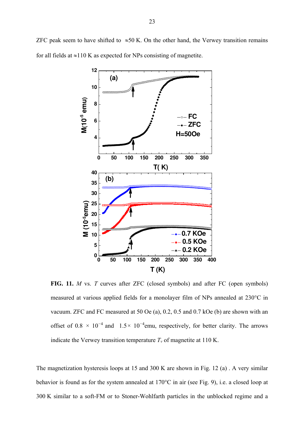ZFC peak seem to have shifted to  $\approx 50$  K. On the other hand, the Verwey transition remains for all fields at  $\approx$ 110 K as expected for NPs consisting of magnetite.



**FIG. 11.** *M* vs. *T* curves after ZFC (closed symbols) and after FC (open symbols) measured at various applied fields for a monolayer film of NPs annealed at 230°C in vacuum. ZFC and FC measured at 50 Oe (a), 0.2, 0.5 and 0.7 kOe (b) are shown with an offset of 0.8 *×* 10*<sup>−</sup>*<sup>4</sup>and 1.5*×* 10*<sup>−</sup>*<sup>4</sup> emu, respectively, for better clarity. The arrows indicate the Verwey transition temperature  $T<sub>v</sub>$  of magnetite at 110 K.

The magnetization hysteresis loops at 15 and 300 K are shown in Fig. 12 (a) . A very similar behavior is found as for the system annealed at 170°C in air (see Fig. 9), i.e. a closed loop at 300 K similar to a soft-FM or to Stoner-Wohlfarth particles in the unblocked regime and a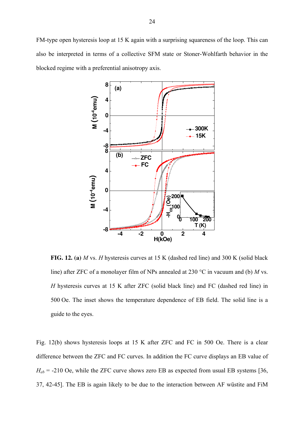FM-type open hysteresis loop at 15 K again with a surprising squareness of the loop. This can also be interpreted in terms of a collective SFM state or Stoner-Wohlfarth behavior in the blocked regime with a preferential anisotropy axis.



**FIG. 12. (a)** *M* vs. *H* hysteresis curves at 15 K (dashed red line) and 300 K (solid black line) after ZFC of a monolayer film of NPs annealed at 230 °C in vacuum and (b) *M* vs. *H* hysteresis curves at 15 K after ZFC (solid black line) and FC (dashed red line) in 500 Oe. The inset shows the temperature dependence of EB field. The solid line is a guide to the eyes.

Fig. 12(b) shows hysteresis loops at 15 K after ZFC and FC in 500 Oe. There is a clear difference between the ZFC and FC curves. In addition the FC curve displays an EB value of  $H_{eb}$  = -210 Oe, while the ZFC curve shows zero EB as expected from usual EB systems [36, 37, 42-45]. The EB is again likely to be due to the interaction between AF wüstite and FiM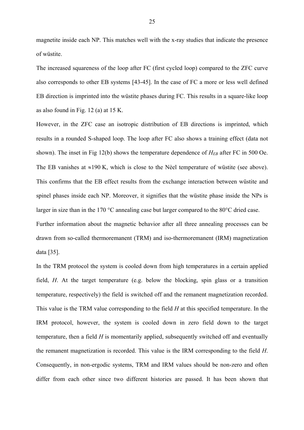magnetite inside each NP. This matches well with the x-ray studies that indicate the presence of wüstite.

The increased squareness of the loop after FC (first cycled loop) compared to the ZFC curve also corresponds to other EB systems [43-45]. In the case of FC a more or less well defined EB direction is imprinted into the wüstite phases during FC. This results in a square-like loop as also found in Fig. 12 (a) at 15 K.

However, in the ZFC case an isotropic distribution of EB directions is imprinted, which results in a rounded S-shaped loop. The loop after FC also shows a training effect (data not shown). The inset in Fig 12(b) shows the temperature dependence of  $H_{EB}$  after FC in 500 Oe. The EB vanishes at  $\approx$ 190 K, which is close to the Nèel temperature of wüstite (see above). This confirms that the EB effect results from the exchange interaction between wüstite and spinel phases inside each NP. Moreover, it signifies that the wüstite phase inside the NPs is larger in size than in the 170 °C annealing case but larger compared to the 80°C dried case. Further information about the magnetic behavior after all three annealing processes can be drawn from so-called thermoremanent (TRM) and iso-thermoremanent (IRM) magnetization data [35].

In the TRM protocol the system is cooled down from high temperatures in a certain applied field, *H*. At the target temperature (e.g. below the blocking, spin glass or a transition temperature, respectively) the field is switched off and the remanent magnetization recorded. This value is the TRM value corresponding to the field *H* at this specified temperature. In the IRM protocol, however, the system is cooled down in zero field down to the target temperature, then a field *H* is momentarily applied, subsequently switched off and eventually the remanent magnetization is recorded. This value is the IRM corresponding to the field *H*. Consequently, in non-ergodic systems, TRM and IRM values should be non-zero and often differ from each other since two different histories are passed. It has been shown that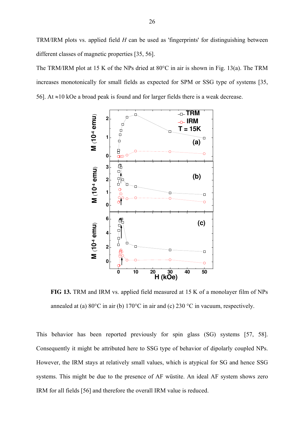TRM/IRM plots vs. applied field *H* can be used as 'fingerprints' for distinguishing between different classes of magnetic properties [35, 56].

The TRM/IRM plot at 15 K of the NPs dried at 80°C in air is shown in Fig. 13(a). The TRM increases monotonically for small fields as expected for SPM or SSG type of systems [35, 56]. At  $\approx$ 10 kOe a broad peak is found and for larger fields there is a weak decrease.



**FIG 13.** TRM and IRM vs. applied field measured at 15 K of a monolayer film of NPs annealed at (a) 80°C in air (b) 170°C in air and (c) 230 °C in vacuum, respectively.

This behavior has been reported previously for spin glass (SG) systems [57, 58]. Consequently it might be attributed here to SSG type of behavior of dipolarly coupled NPs. However, the IRM stays at relatively small values, which is atypical for SG and hence SSG systems. This might be due to the presence of AF wüstite. An ideal AF system shows zero IRM for all fields [56] and therefore the overall IRM value is reduced.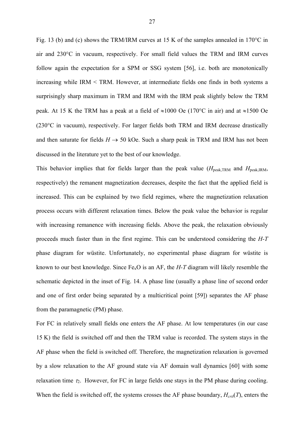Fig. 13 (b) and (c) shows the TRM/IRM curves at 15 K of the samples annealed in 170°C in air and 230°C in vacuum, respectively. For small field values the TRM and IRM curves follow again the expectation for a SPM or SSG system [56], i.e. both are monotonically increasing while IRM < TRM. However, at intermediate fields one finds in both systems a surprisingly sharp maximum in TRM and IRM with the IRM peak slightly below the TRM peak. At 15 K the TRM has a peak at a field of  $\approx 1000$  Oe (170°C in air) and at  $\approx 1500$  Oe (230°C in vacuum), respectively. For larger fields both TRM and IRM decrease drastically and then saturate for fields  $H \rightarrow 50$  kOe. Such a sharp peak in TRM and IRM has not been discussed in the literature yet to the best of our knowledge.

This behavior implies that for fields larger than the peak value  $(H_{peak,TRM}$  and  $H_{peak,IRM}$ , respectively) the remanent magnetization decreases, despite the fact that the applied field is increased. This can be explained by two field regimes, where the magnetization relaxation process occurs with different relaxation times. Below the peak value the behavior is regular with increasing remanence with increasing fields. Above the peak, the relaxation obviously proceeds much faster than in the first regime. This can be understood considering the *H-T* phase diagram for wüstite. Unfortunately, no experimental phase diagram for wüstite is known to our best knowledge. Since FexO is an AF, the *H-T* diagram will likely resemble the schematic depicted in the inset of Fig. 14. A phase line (usually a phase line of second order and one of first order being separated by a multicritical point [59]) separates the AF phase from the paramagnetic (PM) phase.

For FC in relatively small fields one enters the AF phase. At low temperatures (in our case 15 K) the field is switched off and then the TRM value is recorded. The system stays in the AF phase when the field is switched off. Therefore, the magnetization relaxation is governed by a slow relaxation to the AF ground state via AF domain wall dynamics [60] with some relaxation time  $\tau_2$ . However, for FC in large fields one stays in the PM phase during cooling. When the field is switched off, the systems crosses the AF phase boundary,  $H_{\text{crit}}(T)$ , enters the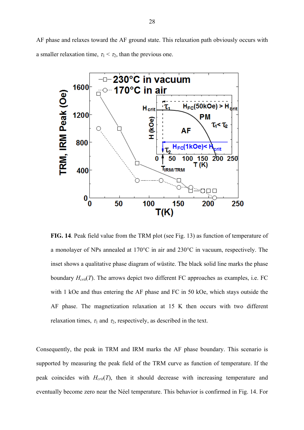AF phase and relaxes toward the AF ground state. This relaxation path obviously occurs with a smaller relaxation time,  $\tau_1 < \tau_2$ , than the previous one.



**FIG. 14**. Peak field value from the TRM plot (see Fig. 13) as function of temperature of a monolayer of NPs annealed at 170°C in air and 230°C in vacuum, respectively. The inset shows a qualitative phase diagram of wüstite. The black solid line marks the phase boundary *Hcrit*(*T*). The arrows depict two different FC approaches as examples, i.e. FC with 1 kOe and thus entering the AF phase and FC in 50 kOe, which stays outside the AF phase. The magnetization relaxation at 15 K then occurs with two different relaxation times,  $\tau_1$  and  $\tau_2$ , respectively, as described in the text.

Consequently, the peak in TRM and IRM marks the AF phase boundary. This scenario is supported by measuring the peak field of the TRM curve as function of temperature. If the peak coincides with *Hcrit*(*T*), then it should decrease with increasing temperature and eventually become zero near the Néel temperature. This behavior is confirmed in Fig. 14. For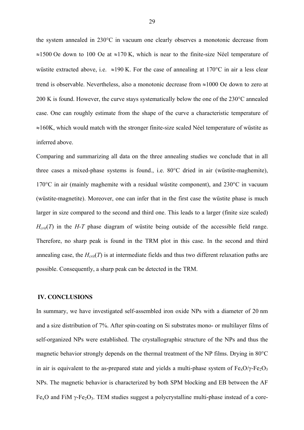the system annealed in 230°C in vacuum one clearly observes a monotonic decrease from  $\approx$ 1500 Oe down to 100 Oe at  $\approx$ 170 K, which is near to the finite-size Néel temperature of wüstite extracted above, i.e.  $\approx$ 190 K. For the case of annealing at 170 °C in air a less clear trend is observable. Nevertheless, also a monotonic decrease from  $\approx$ 1000 Oe down to zero at 200 K is found. However, the curve stays systematically below the one of the 230°C annealed case. One can roughly estimate from the shape of the curve a characteristic temperature of  $\approx$ 160K, which would match with the stronger finite-size scaled Néel temperature of wüstite as inferred above.

Comparing and summarizing all data on the three annealing studies we conclude that in all three cases a mixed-phase systems is found., i.e. 80°C dried in air (wüstite-maghemite), 170°C in air (mainly maghemite with a residual wüstite component), and 230°C in vacuum (wüstite-magnetite). Moreover, one can infer that in the first case the wüstite phase is much larger in size compared to the second and third one. This leads to a larger (finite size scaled)  $H_{\text{crit}}(T)$  in the *H*-*T* phase diagram of wüstite being outside of the accessible field range. Therefore, no sharp peak is found in the TRM plot in this case. In the second and third annealing case, the  $H_{crit}(T)$  is at intermediate fields and thus two different relaxation paths are possible. Consequently, a sharp peak can be detected in the TRM.

#### **IV. CONCLUSIONS**

In summary, we have investigated self-assembled iron oxide NPs with a diameter of 20 nm and a size distribution of 7%. After spin-coating on Si substrates mono- or multilayer films of self-organized NPs were established. The crystallographic structure of the NPs and thus the magnetic behavior strongly depends on the thermal treatment of the NP films. Drying in 80°C in air is equivalent to the as-prepared state and yields a multi-phase system of  $Fe_{x}O/\gamma-Fe_{2}O_{3}$ NPs. The magnetic behavior is characterized by both SPM blocking and EB between the AF Fe<sub>x</sub>O and FiM  $\gamma$ -Fe<sub>2</sub>O<sub>3</sub>. TEM studies suggest a polycrystalline multi-phase instead of a core-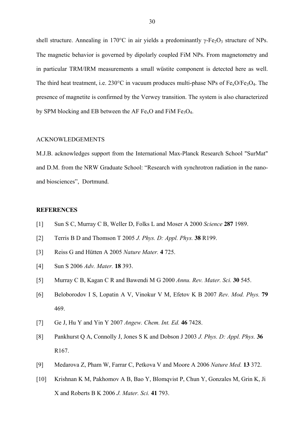shell structure. Annealing in 170 $^{\circ}$ C in air yields a predominantly  $\gamma$ -Fe<sub>2</sub>O<sub>3</sub> structure of NPs. The magnetic behavior is governed by dipolarly coupled FiM NPs. From magnetometry and in particular TRM/IRM measurements a small wüstite component is detected here as well. The third heat treatment, i.e. 230 $^{\circ}$ C in vacuum produces multi-phase NPs of Fe<sub>x</sub>O/Fe<sub>3</sub>O<sub>4</sub>. The presence of magnetite is confirmed by the Verwey transition. The system is also characterized by SPM blocking and EB between the AF  $Fe<sub>x</sub>O$  and FiM  $Fe<sub>3</sub>O<sub>4</sub>$ .

#### ACKNOWLEDGEMENTS

M.J.B. acknowledges support from the International Max-Planck Research School "SurMat" and D.M. from the NRW Graduate School: "Research with synchrotron radiation in the nanoand biosciences", Dortmund.

## **REFERENCES**

- [1] Sun S C, Murray C B, Weller D, Folks L and Moser A 2000 *Science* **287** 1989.
- [2] Terris B D and Thomson T 2005 *J. Phys. D: Appl. Phys.* **38** R199.
- [3] Reiss G and Hütten A 2005 *Nature Mater.* **4** 725.
- [4] Sun S 2006 *Adv. Mater.* **18** 393.
- [5] Murray C B, Kagan C R and Bawendi M G 2000 *Annu. Rev. Mater. Sci.* **30** 545.
- [6] Beloborodov I S, Lopatin A V, Vinokur V M, Efetov K B 2007 *Rev. Mod. Phys.* **79** 469.
- [7] Ge J, Hu Y and Yin Y 2007 *Angew. Chem. Int. Ed.* **46** 7428.
- [8] Pankhurst Q A, Connolly J, Jones S K and Dobson J 2003 *J. Phys. D: Appl. Phys.* **36** R167.
- [9] Medarova Z, Pham W, Farrar C, Petkova V and Moore A 2006 *Nature Med.* **13** 372.
- [10] Krishnan K M, Pakhomov A B, Bao Y, Blomqvist P, Chun Y, Gonzales M, Grin K, Ji X and Roberts B K 2006 *J. Mater. Sci.* **41** 793.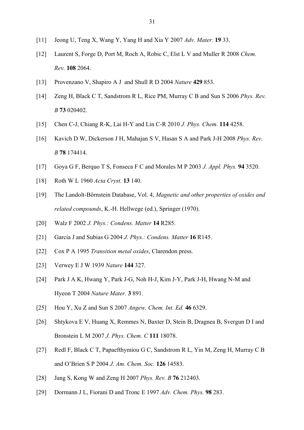- [11] Jeong U, Teng X, Wang Y, Yang H and Xia Y 2007 *Adv. Mater.* **19** 33.
- [12] Laurent S, Forge D, Port M, Roch A, Robic C, Elst L V and Muller R 2008 *Chem. Rev.* **108** 2064.
- [13] Provenzano V, Shapiro A J and Shull R D 2004 *Nature* **429** 853.
- [14] Zeng H, Black C T, Sandstrom R L, Rice PM, Murray C B and Sun S 2006 *Phys. Rev. B* **73** 020402.
- [15] Chen C-J, Chiang R-K, Lai H-Y and Lin C-R 2010 *J. Phys. Chem.* **114** 4258.
- [16] Kavich D W, Dickerson J H, Mahajan S V, Hasan S A and Park J-H 2008 *Phys. Rev. B* **78** 174414.
- [17] Goya G F, Berquo T S, Fonseca F C and Morales M P 2003 *J. Appl. Phys.* **94** 3520.
- [18] Roth W L 1960 *Acta Cryst.* **13** 140.
- [19] The Landolt-Börnstein Database, Vol. 4, *Magnetic and other properties of oxides and related compounds*, K.-H. Hellwege (ed.), Springer (1970).
- [20] Walz F 2002 *J. Phys.: Condens. Matter* **14** R285.
- [21] Garcia J and Subias G 2004 *J. Phys.: Condens. Matter* **16** R145.
- [22] Cox P A 1995 *Transition metal oxides*, Clarendon press.
- [23] Verwey E J W 1939 *Nature* **144** 327.
- [24] Park J A K, Hwang Y, Park J-G, Noh H-J, Kim J-Y, Park J-H, Hwang N-M and Hyeon T 2004 *Nature Mater.* **3** 891.
- [25] Hou Y, Xu Z and Sun S 2007 *Angew. Chem. Int. Ed.* **46** 6329.
- [26] Shtykova E V, Huang X, Remmes N, Baxter D, Stein B, Dragnea B, Svergun D I and Bronstein L M 2007 *J. Phys. Chem. C* **111** 18078.
- [27] Redl F, Black C T, Papaefthymiou G C, Sandstrom R L, Yin M, Zeng H, Murray C B and O'Brien S P 2004 *J. Am. Chem. Soc.* **126** 14583.
- [28] Jang S, Kong W and Zeng H 2007 *Phys. Rev. B* **76** 212403.
- [29] Dormann J L, Fiorani D and Tronc E 1997 *Adv. Chem. Phys.* **98** 283.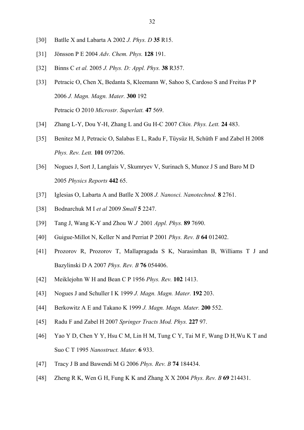- [30] Batlle X and Labarta A 2002 *J. Phys. D* **35** R15.
- [31] Jönsson P E 2004 *Adv. Chem. Phys.* **128** 191.
- [32] Binns C *et al.* 2005 *J. Phys. D: Appl. Phys.* **38** R357.
- [33] Petracic O, Chen X, Bedanta S, Kleemann W, Sahoo S, Cardoso S and Freitas P P 2006 *J. Magn. Magn. Mater.* **300** 192 Petracic O 2010 *Microstr. Superlatt.* **47** 569.
- [34] Zhang L-Y, Dou Y-H, Zhang L and Gu H-C 2007 *Chin. Phys. Lett.* **24** 483.
- [35] Benitez M J, Petracic O, Salabas E L, Radu F, Tüysüz H, Schüth F and Zabel H 2008 *Phys. Rev. Lett.* **101** 097206.
- [36] Nogues J, Sort J, Langlais V, Skumryev V, Surinach S, Munoz J S and Baro M D 2005 *Physics Reports* **442** 65.
- [37] Iglesias O, Labarta A and Batlle X 2008 *J. Nanosci. Nanotechnol.* **8** 2761.
- [38] Bodnarchuk M I *et al* 2009 *Small* **5** 2247.
- [39] Tang J, Wang K-Y and Zhou W *J* 2001 *Appl. Phys.* **89** 7690.
- [40] Guigue-Millot N, Keller N and Perriat P 2001 *Phys. Rev. B* **64** 012402.
- [41] Prozorov R, Prozorov T, Mallapragada S K, Narasimhan B, Williams T J and Bazylinski D A 2007 *Phys. Rev. B* **76** 054406.
- [42] Meiklejohn W H and Bean C P 1956 *Phys. Rev.* **102** 1413.
- [43] Nogues J and Schuller I K 1999 *J. Magn. Magn. Mater.* **192** 203.
- [44] Berkowitz A E and Takano K 1999 *J. Magn. Magn. Mater.* **200** 552.
- [45] Radu F and Zabel H 2007 *Springer Tracts Mod. Phys.* **227** 97.
- [46] Yao Y D, Chen Y Y, Hsu C M, Lin H M, Tung C Y, Tai M F, Wang D H,Wu K T and Suo C T 1995 *Nanostruct. Mater.* **6** 933.
- [47] Tracy J B and Bawendi M G 2006 *Phys. Rev. B* **74** 184434.
- [48] Zheng R K, Wen G H, Fung K K and Zhang X X 2004 *Phys. Rev. B* **69** 214431.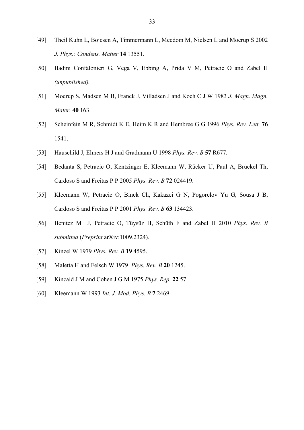- [49] Theil Kuhn L, Bojesen A, Timmermann L, Meedom M, Nielsen L and Moerup S 2002 *J. Phys.: Condens. Matter* **14** 13551.
- [50] Badini Confalonieri G, Vega V, Ebbing A, Prida V M, Petracic O and Zabel H *(unpublished).*
- [51] Moerup S, Madsen M B, Franck J, Villadsen J and Koch C J W 1983 *J. Magn. Magn. Mater.* **40** 163.
- [52] Scheinfein M R, Schmidt K E, Heim K R and Hembree G G 1996 *Phys. Rev. Lett.* **76** 1541.
- [53] Hauschild J, Elmers H J and Gradmann U 1998 *Phys. Rev. B* **57** R677.
- [54] Bedanta S, Petracic O, Kentzinger E, Kleemann W, Rücker U, Paul A, Brückel Th, Cardoso S and Freitas P P 2005 *Phys. Rev. B* **72** 024419.
- [55] Kleemann W, Petracic O, Binek Ch, Kakazei G N, Pogorelov Yu G, Sousa J B, Cardoso S and Freitas P P 2001 *Phys. Rev. B* **63** 134423.
- [56] Benitez M J, Petracic O, Tüysüz H, Schüth F and Zabel H 2010 *Phys. Rev. B submitted* (*Preprint* arXiv:1009.2324).
- [57] Kinzel W 1979 *Phys. Rev. B* **19** 4595.
- [58] Maletta H and Felsch W 1979 *Phys. Rev. B* **20** 1245.
- [59] Kincaid J M and Cohen J G M 1975 *Phys. Rep.* **22** 57.
- [60] Kleemann W 1993 *Int. J. Mod. Phys. B* **7** 2469.